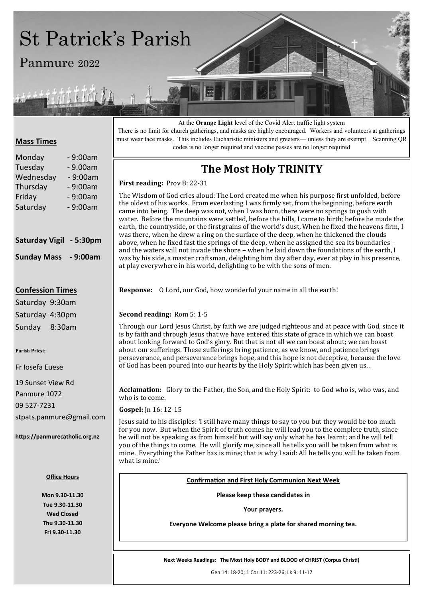# St Patrick's Parish

Panmure 2022

### **Mass Times**

| Monday    | - 9:00am  |
|-----------|-----------|
| Tuesday   | $-9.00am$ |
| Wednesday | $-9:00am$ |
| Thursday  | $-9:00am$ |
| Friday    | $-9:00am$ |
| Saturday  | $-9:00am$ |
|           |           |

## **Saturday Vigil - 5:30pm**

**Sunday Mass - 9:00am**

#### **Confession Times**

Saturday 9:30am Saturday 4:30pm Sunday 8:30am

**Parish Priest:**

Fr Iosefa Euese

19 Sunset View Rd Panmure 1072 09 527-7231 stpats.panmure@gmail.com

**https://panmurecatholic.org.nz**

#### **Office Hours**

**Mon 9.30-11.30 Tue 9.30-11.30 Wed Closed Thu 9.30-11.30 Fri 9.30-11.30**

At the **Orange Light** level of the Covid Alert traffic light system

There is no limit for church gatherings, and masks are highly encouraged. Workers and volunteers at gatherings must wear face masks. This includes Eucharistic ministers and greeters— unless they are exempt. Scanning QR codes is no longer required and vaccine passes are no longer required

# **The Most Holy TRINITY**

#### **First reading:** Prov 8: 22-31

The Wisdom of God cries aloud: The Lord created me when his purpose first unfolded, before the oldest of his works. From everlasting I was firmly set, from the beginning, before earth came into being. The deep was not, when I was born, there were no springs to gush with water. Before the mountains were settled, before the hills, I came to birth; before he made the earth, the countryside, or the first grains of the world's dust, When he fixed the heavens firm, I was there, when he drew a ring on the surface of the deep, when he thickened the clouds above, when he fixed fast the springs of the deep, when he assigned the sea its boundaries – and the waters will not invade the shore – when he laid down the foundations of the earth, I was by his side, a master craftsman, delighting him day after day, ever at play in his presence, at play everywhere in his world, delighting to be with the sons of men.

**Response:** O Lord, our God, how wonderful your name in all the earth!

#### **Second reading:** Rom 5: 1-5

Through our Lord Jesus Christ, by faith we are judged righteous and at peace with God, since it is by faith and through Jesus that we have entered this state of grace in which we can boast about looking forward to God's glory. But that is not all we can boast about; we can boast about our sufferings. These sufferings bring patience, as we know, and patience brings perseverance, and perseverance brings hope, and this hope is not deceptive, because the love of God has been poured into our hearts by the Holy Spirit which has been given us. .

**Acclamation:** Glory to the Father, the Son, and the Holy Spirit: to God who is, who was, and who is to come.

**Gospel:** Jn 16: 12-15

Jesus said to his disciples: 'I still have many things to say to you but they would be too much for you now. But when the Spirit of truth comes he will lead you to the complete truth, since he will not be speaking as from himself but will say only what he has learnt; and he will tell you of the things to come. He will glorify me, since all he tells you will be taken from what is mine. Everything the Father has is mine; that is why I said: All he tells you will be taken from what is mine.'

#### **Confirmation and First Holy Communion Next Week**

**Please keep these candidates in** 

**Your prayers.**

#### **Everyone Welcome please bring a plate for shared morning tea.**

**Next Weeks Readings: The Most Holy BODY and BLOOD of CHRIST (Corpus Christi)**

Gen 14: 18-20; 1 Cor 11: 223-26; Lk 9: 11-17